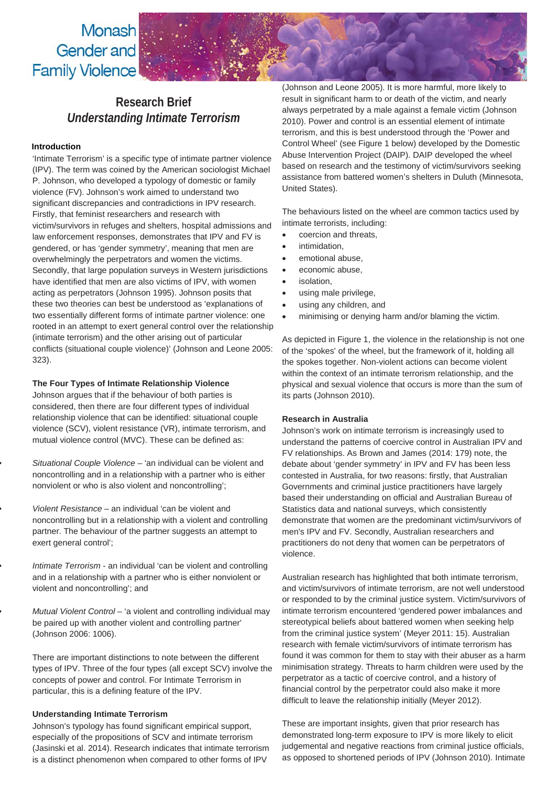Monash Gender and **Family Violence** 

# **Research Brief** *Understanding Intimate Terrorism*

## **Introduction**

'Intimate Terrorism' is a specific type of intimate partner violence (IPV). The term was coined by the American sociologist Michael P. Johnson, who developed a typology of domestic or family violence (FV). Johnson's work aimed to understand two significant discrepancies and contradictions in IPV research. Firstly, that feminist researchers and research with victim/survivors in refuges and shelters, hospital admissions and law enforcement responses, demonstrates that IPV and FV is gendered, or has 'gender symmetry', meaning that men are overwhelmingly the perpetrators and women the victims. Secondly, that large population surveys in Western jurisdictions have identified that men are also victims of IPV, with women acting as perpetrators (Johnson 1995). Johnson posits that these two theories can best be understood as 'explanations of two essentially different forms of intimate partner violence: one rooted in an attempt to exert general control over the relationship (intimate terrorism) and the other arising out of particular conflicts (situational couple violence)' (Johnson and Leone 2005: 323).

# **The Four Types of Intimate Relationship Violence**

Johnson argues that if the behaviour of both parties is considered, then there are four different types of individual relationship violence that can be identified: situational couple violence (SCV), violent resistance (VR), intimate terrorism, and mutual violence control (MVC). These can be defined as:

• *Situational Couple Violence* – 'an individual can be violent and noncontrolling and in a relationship with a partner who is either nonviolent or who is also violent and noncontrolling';

• *Violent Resistance* – an individual 'can be violent and noncontrolling but in a relationship with a violent and controlling partner. The behaviour of the partner suggests an attempt to exert general control';

• *Intimate Terrorism* - an individual 'can be violent and controlling and in a relationship with a partner who is either nonviolent or violent and noncontrolling'; and

• *Mutual Violent Control* – 'a violent and controlling individual may be paired up with another violent and controlling partner' (Johnson 2006: 1006).

There are important distinctions to note between the different types of IPV. Three of the four types (all except SCV) involve the concepts of power and control. For Intimate Terrorism in particular, this is a defining feature of the IPV.

#### **Understanding Intimate Terrorism**

Johnson's typology has found significant empirical support, especially of the propositions of SCV and intimate terrorism (Jasinski et al. 2014). Research indicates that intimate terrorism is a distinct phenomenon when compared to other forms of IPV

(Johnson and Leone 2005). It is more harmful, more likely to result in significant harm to or death of the victim, and nearly always perpetrated by a male against a female victim (Johnson 2010). Power and control is an essential element of intimate terrorism, and this is best understood through the 'Power and Control Wheel' (see Figure 1 below) developed by the Domestic Abuse Intervention Project (DAIP). DAIP developed the wheel based on research and the testimony of victim/survivors seeking assistance from battered women's shelters in Duluth (Minnesota, United States).

The behaviours listed on the wheel are common tactics used by intimate terrorists, including:

- coercion and threats,
- intimidation,
- emotional abuse,
- economic abuse,
- isolation,
- using male privilege,
- using any children, and
- minimising or denying harm and/or blaming the victim.

As depicted in Figure 1, the violence in the relationship is not one of the 'spokes' of the wheel, but the framework of it, holding all the spokes together. Non-violent actions can become violent within the context of an intimate terrorism relationship, and the physical and sexual violence that occurs is more than the sum of its parts (Johnson 2010).

#### **Research in Australia**

Johnson's work on intimate terrorism is increasingly used to understand the patterns of coercive control in Australian IPV and FV relationships. As Brown and James (2014: 179) note, the debate about 'gender symmetry' in IPV and FV has been less contested in Australia, for two reasons: firstly, that Australian Governments and criminal justice practitioners have largely based their understanding on official and Australian Bureau of Statistics data and national surveys, which consistently demonstrate that women are the predominant victim/survivors of men's IPV and FV. Secondly, Australian researchers and practitioners do not deny that women can be perpetrators of violence.

Australian research has highlighted that both intimate terrorism, and victim/survivors of intimate terrorism, are not well understood or responded to by the criminal justice system. Victim/survivors of intimate terrorism encountered 'gendered power imbalances and stereotypical beliefs about battered women when seeking help from the criminal justice system' (Meyer 2011: 15). Australian research with female victim/survivors of intimate terrorism has found it was common for them to stay with their abuser as a harm minimisation strategy. Threats to harm children were used by the perpetrator as a tactic of coercive control, and a history of financial control by the perpetrator could also make it more difficult to leave the relationship initially (Meyer 2012).

These are important insights, given that prior research has demonstrated long-term exposure to IPV is more likely to elicit judgemental and negative reactions from criminal justice officials, as opposed to shortened periods of IPV (Johnson 2010). Intimate